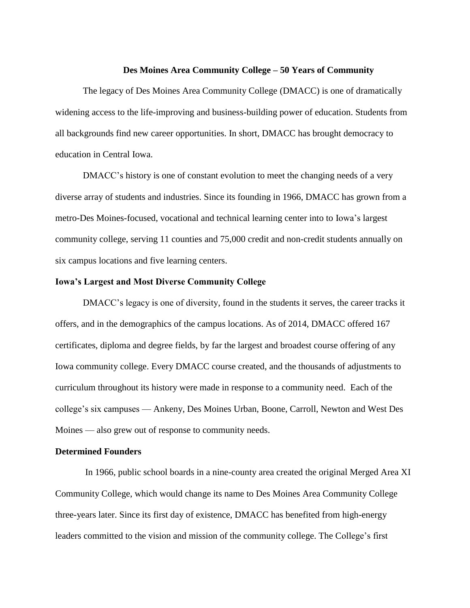#### **Des Moines Area Community College – 50 Years of Community**

The legacy of Des Moines Area Community College (DMACC) is one of dramatically widening access to the life-improving and business-building power of education. Students from all backgrounds find new career opportunities. In short, DMACC has brought democracy to education in Central Iowa.

DMACC's history is one of constant evolution to meet the changing needs of a very diverse array of students and industries. Since its founding in 1966, DMACC has grown from a metro-Des Moines-focused, vocational and technical learning center into to Iowa's largest community college, serving 11 counties and 75,000 credit and non-credit students annually on six campus locations and five learning centers.

## **Iowa's Largest and Most Diverse Community College**

DMACC's legacy is one of diversity, found in the students it serves, the career tracks it offers, and in the demographics of the campus locations. As of 2014, DMACC offered 167 certificates, diploma and degree fields, by far the largest and broadest course offering of any Iowa community college. Every DMACC course created, and the thousands of adjustments to curriculum throughout its history were made in response to a community need. Each of the college's six campuses — Ankeny, Des Moines Urban, Boone, Carroll, Newton and West Des Moines — also grew out of response to community needs.

## **Determined Founders**

In 1966, public school boards in a nine-county area created the original Merged Area XI Community College, which would change its name to Des Moines Area Community College three-years later. Since its first day of existence, DMACC has benefited from high-energy leaders committed to the vision and mission of the community college. The College's first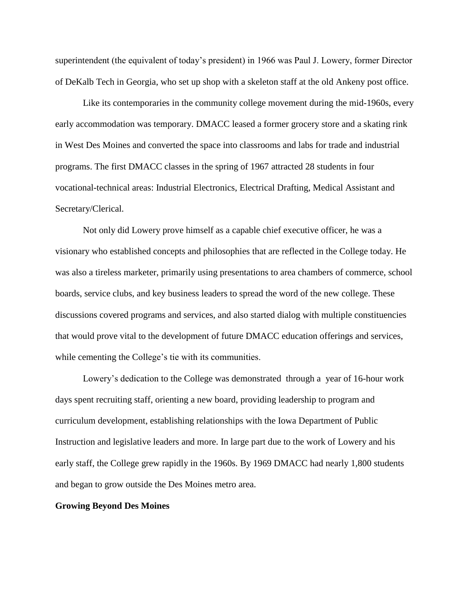superintendent (the equivalent of today's president) in 1966 was Paul J. Lowery, former Director of DeKalb Tech in Georgia, who set up shop with a skeleton staff at the old Ankeny post office.

Like its contemporaries in the community college movement during the mid-1960s, every early accommodation was temporary. DMACC leased a former grocery store and a skating rink in West Des Moines and converted the space into classrooms and labs for trade and industrial programs. The first DMACC classes in the spring of 1967 attracted 28 students in four vocational-technical areas: Industrial Electronics, Electrical Drafting, Medical Assistant and Secretary/Clerical.

Not only did Lowery prove himself as a capable chief executive officer, he was a visionary who established concepts and philosophies that are reflected in the College today. He was also a tireless marketer, primarily using presentations to area chambers of commerce, school boards, service clubs, and key business leaders to spread the word of the new college. These discussions covered programs and services, and also started dialog with multiple constituencies that would prove vital to the development of future DMACC education offerings and services, while cementing the College's tie with its communities.

Lowery's dedication to the College was demonstrated through a year of 16-hour work days spent recruiting staff, orienting a new board, providing leadership to program and curriculum development, establishing relationships with the Iowa Department of Public Instruction and legislative leaders and more. In large part due to the work of Lowery and his early staff, the College grew rapidly in the 1960s. By 1969 DMACC had nearly 1,800 students and began to grow outside the Des Moines metro area.

#### **Growing Beyond Des Moines**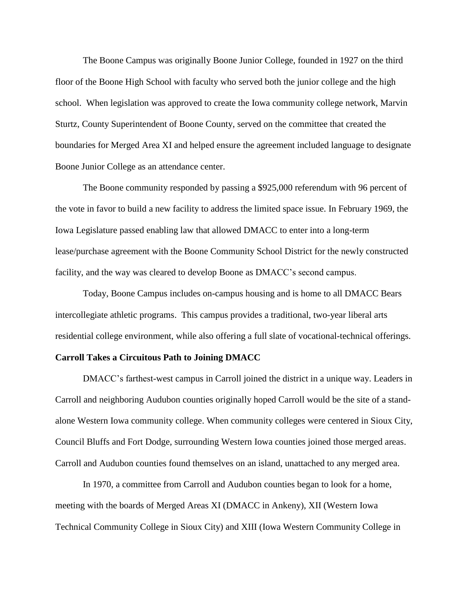The Boone Campus was originally Boone Junior College, founded in 1927 on the third floor of the Boone High School with faculty who served both the junior college and the high school. When legislation was approved to create the Iowa community college network, Marvin Sturtz, County Superintendent of Boone County, served on the committee that created the boundaries for Merged Area XI and helped ensure the agreement included language to designate Boone Junior College as an attendance center.

The Boone community responded by passing a \$925,000 referendum with 96 percent of the vote in favor to build a new facility to address the limited space issue. In February 1969, the Iowa Legislature passed enabling law that allowed DMACC to enter into a long-term lease/purchase agreement with the Boone Community School District for the newly constructed facility, and the way was cleared to develop Boone as DMACC's second campus.

Today, Boone Campus includes on-campus housing and is home to all DMACC Bears intercollegiate athletic programs. This campus provides a traditional, two-year liberal arts residential college environment, while also offering a full slate of vocational-technical offerings.

### **Carroll Takes a Circuitous Path to Joining DMACC**

DMACC's farthest-west campus in Carroll joined the district in a unique way. Leaders in Carroll and neighboring Audubon counties originally hoped Carroll would be the site of a standalone Western Iowa community college. When community colleges were centered in Sioux City, Council Bluffs and Fort Dodge, surrounding Western Iowa counties joined those merged areas. Carroll and Audubon counties found themselves on an island, unattached to any merged area.

In 1970, a committee from Carroll and Audubon counties began to look for a home, meeting with the boards of Merged Areas XI (DMACC in Ankeny), XII (Western Iowa Technical Community College in Sioux City) and XIII (Iowa Western Community College in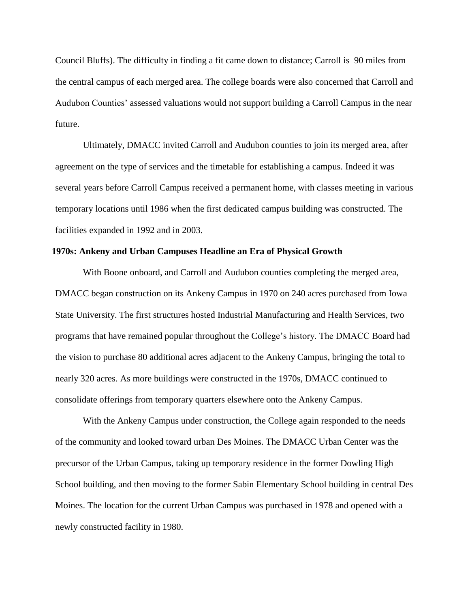Council Bluffs). The difficulty in finding a fit came down to distance; Carroll is 90 miles from the central campus of each merged area. The college boards were also concerned that Carroll and Audubon Counties' assessed valuations would not support building a Carroll Campus in the near future.

Ultimately, DMACC invited Carroll and Audubon counties to join its merged area, after agreement on the type of services and the timetable for establishing a campus. Indeed it was several years before Carroll Campus received a permanent home, with classes meeting in various temporary locations until 1986 when the first dedicated campus building was constructed. The facilities expanded in 1992 and in 2003.

#### **1970s: Ankeny and Urban Campuses Headline an Era of Physical Growth**

With Boone onboard, and Carroll and Audubon counties completing the merged area, DMACC began construction on its Ankeny Campus in 1970 on 240 acres purchased from Iowa State University. The first structures hosted Industrial Manufacturing and Health Services, two programs that have remained popular throughout the College's history. The DMACC Board had the vision to purchase 80 additional acres adjacent to the Ankeny Campus, bringing the total to nearly 320 acres. As more buildings were constructed in the 1970s, DMACC continued to consolidate offerings from temporary quarters elsewhere onto the Ankeny Campus.

With the Ankeny Campus under construction, the College again responded to the needs of the community and looked toward urban Des Moines. The DMACC Urban Center was the precursor of the Urban Campus, taking up temporary residence in the former Dowling High School building, and then moving to the former Sabin Elementary School building in central Des Moines. The location for the current Urban Campus was purchased in 1978 and opened with a newly constructed facility in 1980.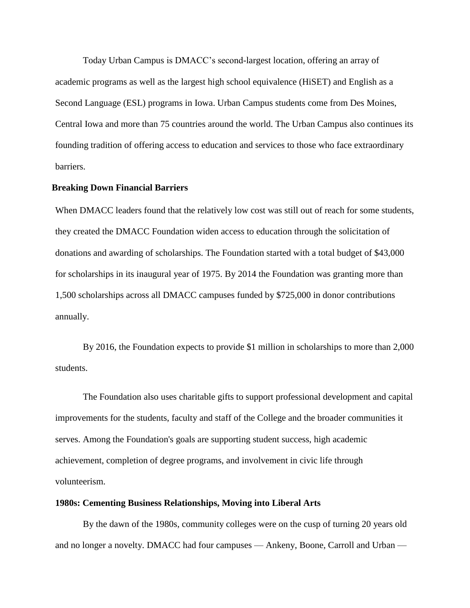Today Urban Campus is DMACC's second-largest location, offering an array of academic programs as well as the largest high school equivalence (HiSET) and English as a Second Language (ESL) programs in Iowa. Urban Campus students come from Des Moines, Central Iowa and more than 75 countries around the world. The Urban Campus also continues its founding tradition of offering access to education and services to those who face extraordinary barriers.

### **Breaking Down Financial Barriers**

When DMACC leaders found that the relatively low cost was still out of reach for some students, they created the DMACC Foundation widen access to education through the solicitation of donations and awarding of scholarships. The Foundation started with a total budget of \$43,000 for scholarships in its inaugural year of 1975. By 2014 the Foundation was granting more than 1,500 scholarships across all DMACC campuses funded by \$725,000 in donor contributions annually.

By 2016, the Foundation expects to provide \$1 million in scholarships to more than 2,000 students.

The Foundation also uses charitable gifts to support professional development and capital improvements for the students, faculty and staff of the College and the broader communities it serves. Among the Foundation's goals are supporting student success, high academic achievement, completion of degree programs, and involvement in civic life through volunteerism.

### **1980s: Cementing Business Relationships, Moving into Liberal Arts**

By the dawn of the 1980s, community colleges were on the cusp of turning 20 years old and no longer a novelty. DMACC had four campuses — Ankeny, Boone, Carroll and Urban —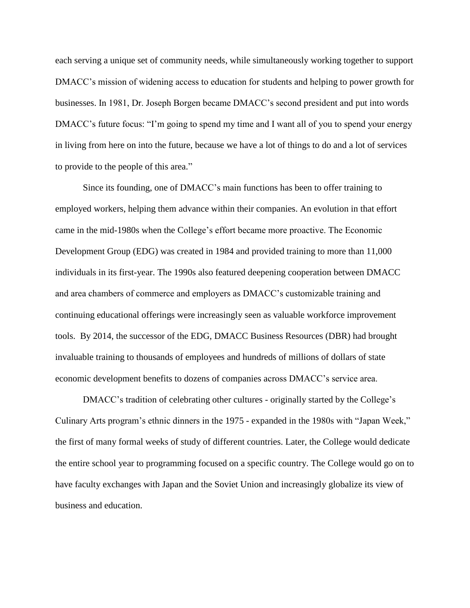each serving a unique set of community needs, while simultaneously working together to support DMACC's mission of widening access to education for students and helping to power growth for businesses. In 1981, Dr. Joseph Borgen became DMACC's second president and put into words DMACC's future focus: "I'm going to spend my time and I want all of you to spend your energy in living from here on into the future, because we have a lot of things to do and a lot of services to provide to the people of this area."

Since its founding, one of DMACC's main functions has been to offer training to employed workers, helping them advance within their companies. An evolution in that effort came in the mid-1980s when the College's effort became more proactive. The Economic Development Group (EDG) was created in 1984 and provided training to more than 11,000 individuals in its first-year. The 1990s also featured deepening cooperation between DMACC and area chambers of commerce and employers as DMACC's customizable training and continuing educational offerings were increasingly seen as valuable workforce improvement tools. By 2014, the successor of the EDG, DMACC Business Resources (DBR) had brought invaluable training to thousands of employees and hundreds of millions of dollars of state economic development benefits to dozens of companies across DMACC's service area.

DMACC's tradition of celebrating other cultures - originally started by the College's Culinary Arts program's ethnic dinners in the 1975 - expanded in the 1980s with "Japan Week," the first of many formal weeks of study of different countries. Later, the College would dedicate the entire school year to programming focused on a specific country. The College would go on to have faculty exchanges with Japan and the Soviet Union and increasingly globalize its view of business and education.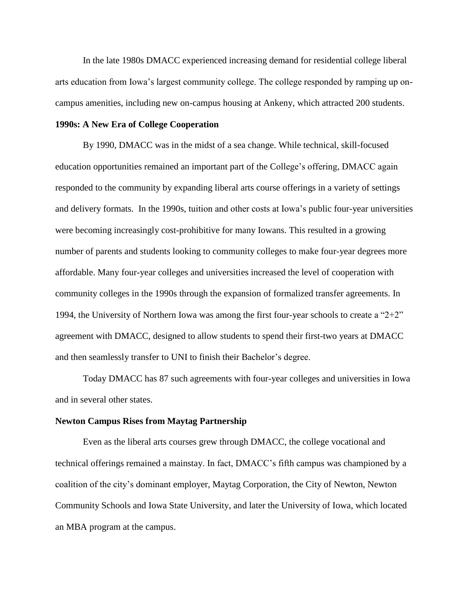In the late 1980s DMACC experienced increasing demand for residential college liberal arts education from Iowa's largest community college. The college responded by ramping up oncampus amenities, including new on-campus housing at Ankeny, which attracted 200 students.

# **1990s: A New Era of College Cooperation**

By 1990, DMACC was in the midst of a sea change. While technical, skill-focused education opportunities remained an important part of the College's offering, DMACC again responded to the community by expanding liberal arts course offerings in a variety of settings and delivery formats. In the 1990s, tuition and other costs at Iowa's public four-year universities were becoming increasingly cost-prohibitive for many Iowans. This resulted in a growing number of parents and students looking to community colleges to make four-year degrees more affordable. Many four-year colleges and universities increased the level of cooperation with community colleges in the 1990s through the expansion of formalized transfer agreements. In 1994, the University of Northern Iowa was among the first four-year schools to create a "2+2" agreement with DMACC, designed to allow students to spend their first-two years at DMACC and then seamlessly transfer to UNI to finish their Bachelor's degree.

Today DMACC has 87 such agreements with four-year colleges and universities in Iowa and in several other states.

#### **Newton Campus Rises from Maytag Partnership**

Even as the liberal arts courses grew through DMACC, the college vocational and technical offerings remained a mainstay. In fact, DMACC's fifth campus was championed by a coalition of the city's dominant employer, Maytag Corporation, the City of Newton, Newton Community Schools and Iowa State University, and later the University of Iowa, which located an MBA program at the campus.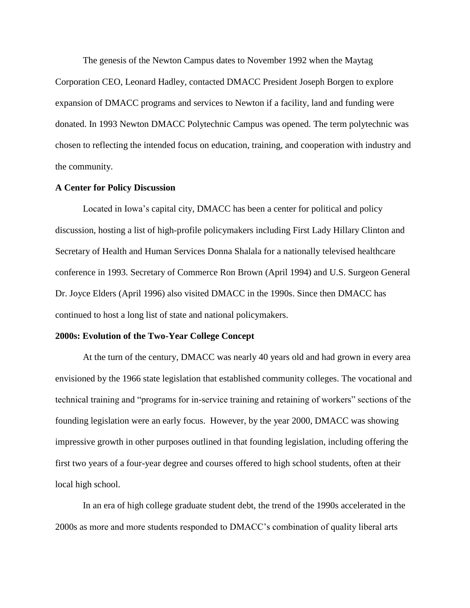The genesis of the Newton Campus dates to November 1992 when the Maytag Corporation CEO, Leonard Hadley, contacted DMACC President Joseph Borgen to explore expansion of DMACC programs and services to Newton if a facility, land and funding were donated. In 1993 Newton DMACC Polytechnic Campus was opened. The term polytechnic was chosen to reflecting the intended focus on education, training, and cooperation with industry and the community.

### **A Center for Policy Discussion**

Located in Iowa's capital city, DMACC has been a center for political and policy discussion, hosting a list of high-profile policymakers including First Lady Hillary Clinton and Secretary of Health and Human Services Donna Shalala for a nationally televised healthcare conference in 1993. Secretary of Commerce Ron Brown (April 1994) and U.S. Surgeon General Dr. Joyce Elders (April 1996) also visited DMACC in the 1990s. Since then DMACC has continued to host a long list of state and national policymakers.

## **2000s: Evolution of the Two-Year College Concept**

At the turn of the century, DMACC was nearly 40 years old and had grown in every area envisioned by the 1966 state legislation that established community colleges. The vocational and technical training and "programs for in-service training and retaining of workers" sections of the founding legislation were an early focus. However, by the year 2000, DMACC was showing impressive growth in other purposes outlined in that founding legislation, including offering the first two years of a four-year degree and courses offered to high school students, often at their local high school.

In an era of high college graduate student debt, the trend of the 1990s accelerated in the 2000s as more and more students responded to DMACC's combination of quality liberal arts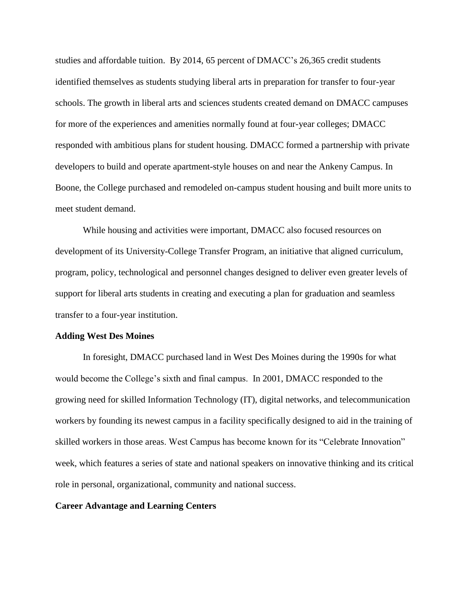studies and affordable tuition. By 2014, 65 percent of DMACC's 26,365 credit students identified themselves as students studying liberal arts in preparation for transfer to four-year schools. The growth in liberal arts and sciences students created demand on DMACC campuses for more of the experiences and amenities normally found at four-year colleges; DMACC responded with ambitious plans for student housing. DMACC formed a partnership with private developers to build and operate apartment-style houses on and near the Ankeny Campus. In Boone, the College purchased and remodeled on-campus student housing and built more units to meet student demand.

While housing and activities were important, DMACC also focused resources on development of its University-College Transfer Program, an initiative that aligned curriculum, program, policy, technological and personnel changes designed to deliver even greater levels of support for liberal arts students in creating and executing a plan for graduation and seamless transfer to a four-year institution.

#### **Adding West Des Moines**

In foresight, DMACC purchased land in West Des Moines during the 1990s for what would become the College's sixth and final campus. In 2001, DMACC responded to the growing need for skilled Information Technology (IT), digital networks, and telecommunication workers by founding its newest campus in a facility specifically designed to aid in the training of skilled workers in those areas. West Campus has become known for its "Celebrate Innovation" week, which features a series of state and national speakers on innovative thinking and its critical role in personal, organizational, community and national success.

#### **Career Advantage and Learning Centers**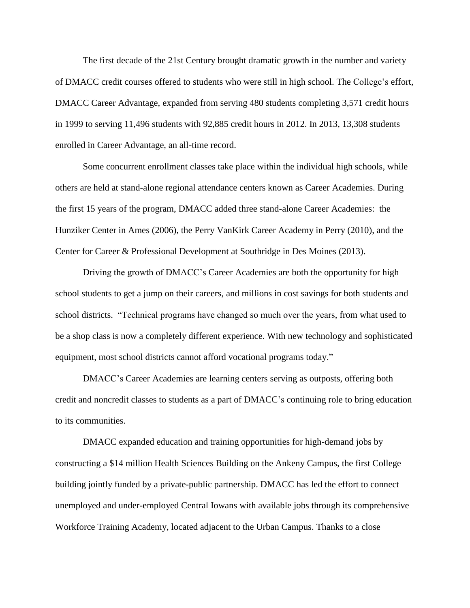The first decade of the 21st Century brought dramatic growth in the number and variety of DMACC credit courses offered to students who were still in high school. The College's effort, DMACC Career Advantage, expanded from serving 480 students completing 3,571 credit hours in 1999 to serving 11,496 students with 92,885 credit hours in 2012. In 2013, 13,308 students enrolled in Career Advantage, an all-time record.

Some concurrent enrollment classes take place within the individual high schools, while others are held at stand-alone regional attendance centers known as Career Academies. During the first 15 years of the program, DMACC added three stand-alone Career Academies: the Hunziker Center in Ames (2006), the Perry VanKirk Career Academy in Perry (2010), and the Center for Career & Professional Development at Southridge in Des Moines (2013).

Driving the growth of DMACC's Career Academies are both the opportunity for high school students to get a jump on their careers, and millions in cost savings for both students and school districts. "Technical programs have changed so much over the years, from what used to be a shop class is now a completely different experience. With new technology and sophisticated equipment, most school districts cannot afford vocational programs today."

DMACC's Career Academies are learning centers serving as outposts, offering both credit and noncredit classes to students as a part of DMACC's continuing role to bring education to its communities.

DMACC expanded education and training opportunities for high-demand jobs by constructing a \$14 million Health Sciences Building on the Ankeny Campus, the first College building jointly funded by a private-public partnership. DMACC has led the effort to connect unemployed and under-employed Central Iowans with available jobs through its comprehensive Workforce Training Academy, located adjacent to the Urban Campus. Thanks to a close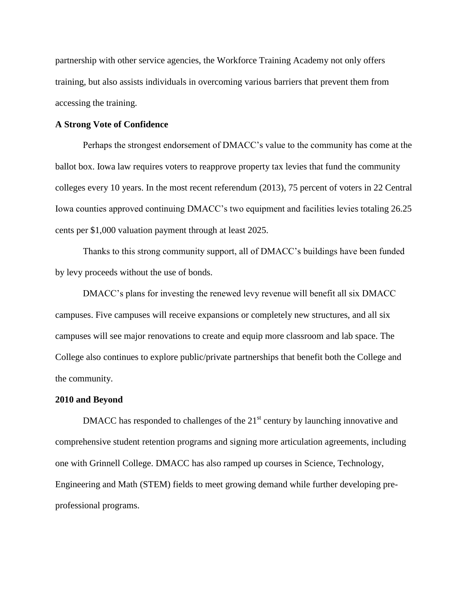partnership with other service agencies, the Workforce Training Academy not only offers training, but also assists individuals in overcoming various barriers that prevent them from accessing the training.

## **A Strong Vote of Confidence**

Perhaps the strongest endorsement of DMACC's value to the community has come at the ballot box. Iowa law requires voters to reapprove property tax levies that fund the community colleges every 10 years. In the most recent referendum (2013), 75 percent of voters in 22 Central Iowa counties approved continuing DMACC's two equipment and facilities levies totaling 26.25 cents per \$1,000 valuation payment through at least 2025.

Thanks to this strong community support, all of DMACC's buildings have been funded by levy proceeds without the use of bonds.

DMACC's plans for investing the renewed levy revenue will benefit all six DMACC campuses. Five campuses will receive expansions or completely new structures, and all six campuses will see major renovations to create and equip more classroom and lab space. The College also continues to explore public/private partnerships that benefit both the College and the community.

#### **2010 and Beyond**

DMACC has responded to challenges of the  $21<sup>st</sup>$  century by launching innovative and comprehensive student retention programs and signing more articulation agreements, including one with Grinnell College. DMACC has also ramped up courses in Science, Technology, Engineering and Math (STEM) fields to meet growing demand while further developing preprofessional programs.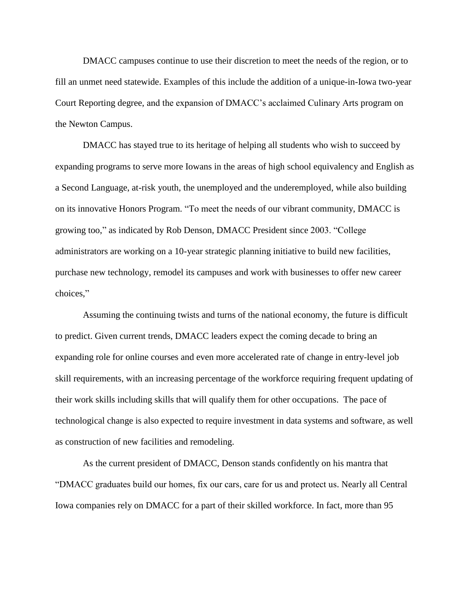DMACC campuses continue to use their discretion to meet the needs of the region, or to fill an unmet need statewide. Examples of this include the addition of a unique-in-Iowa two-year Court Reporting degree, and the expansion of DMACC's acclaimed Culinary Arts program on the Newton Campus.

DMACC has stayed true to its heritage of helping all students who wish to succeed by expanding programs to serve more Iowans in the areas of high school equivalency and English as a Second Language, at-risk youth, the unemployed and the underemployed, while also building on its innovative Honors Program. "To meet the needs of our vibrant community, DMACC is growing too," as indicated by Rob Denson, DMACC President since 2003. "College administrators are working on a 10-year strategic planning initiative to build new facilities, purchase new technology, remodel its campuses and work with businesses to offer new career choices,"

Assuming the continuing twists and turns of the national economy, the future is difficult to predict. Given current trends, DMACC leaders expect the coming decade to bring an expanding role for online courses and even more accelerated rate of change in entry-level job skill requirements, with an increasing percentage of the workforce requiring frequent updating of their work skills including skills that will qualify them for other occupations. The pace of technological change is also expected to require investment in data systems and software, as well as construction of new facilities and remodeling.

As the current president of DMACC, Denson stands confidently on his mantra that "DMACC graduates build our homes, fix our cars, care for us and protect us. Nearly all Central Iowa companies rely on DMACC for a part of their skilled workforce. In fact, more than 95